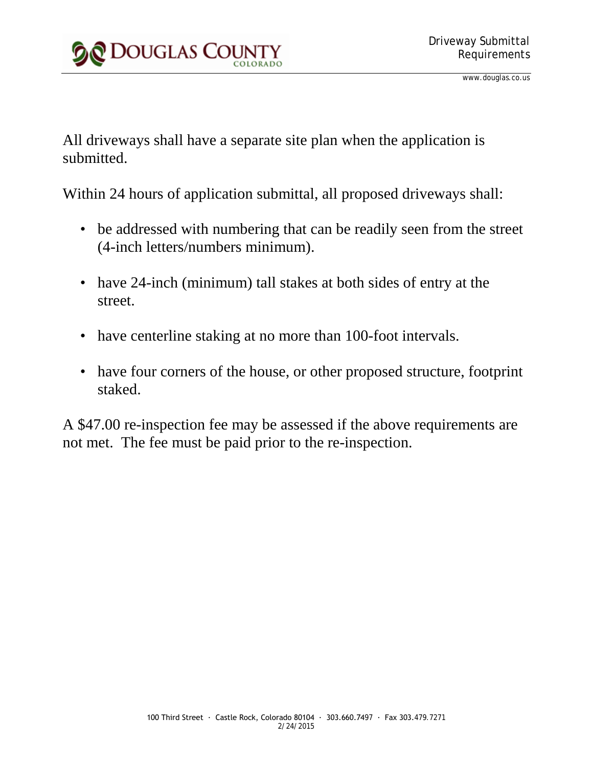

All driveways shall have a separate site plan when the application is submitted.

Within 24 hours of application submittal, all proposed driveways shall:

- be addressed with numbering that can be readily seen from the street (4-inch letters/numbers minimum).
- have 24-inch (minimum) tall stakes at both sides of entry at the street.
- have centerline staking at no more than 100-foot intervals.
- have four corners of the house, or other proposed structure, footprint staked.

A \$47.00 re-inspection fee may be assessed if the above requirements are not met. The fee must be paid prior to the re-inspection.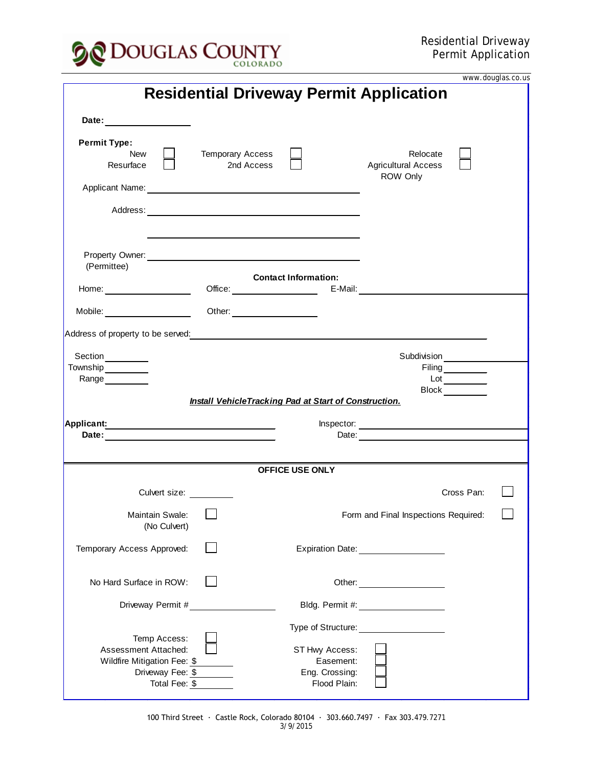

|                                                                                         |                                       |                                               |                                                    | www.douglas.co.us |
|-----------------------------------------------------------------------------------------|---------------------------------------|-----------------------------------------------|----------------------------------------------------|-------------------|
| <b>Residential Driveway Permit Application</b>                                          |                                       |                                               |                                                    |                   |
| Date: ________________                                                                  |                                       |                                               |                                                    |                   |
| <b>Permit Type:</b><br>New<br>Resurface                                                 | <b>Temporary Access</b><br>2nd Access |                                               | Relocate<br><b>Agricultural Access</b><br>ROW Only |                   |
|                                                                                         |                                       |                                               |                                                    |                   |
|                                                                                         |                                       |                                               |                                                    |                   |
| (Permittee)                                                                             |                                       |                                               |                                                    |                   |
| Home:                                                                                   |                                       | <b>Contact Information:</b>                   | Office: E-Mail: E-Mail:                            |                   |
| Mobile: _____________________                                                           | Other: ______________________         |                                               |                                                    |                   |
|                                                                                         |                                       |                                               |                                                    |                   |
| Section_________<br>Township__________                                                  |                                       |                                               | Subdivision<br>Filing <sub>__________</sub>        |                   |
| Range  __________                                                                       |                                       |                                               | $Lot \_\_$                                         |                   |
| Block<br><b>Install VehicleTracking Pad at Start of Construction.</b>                   |                                       |                                               |                                                    |                   |
| Applicant: <u>_________________________________</u>                                     |                                       |                                               |                                                    |                   |
|                                                                                         |                                       |                                               |                                                    |                   |
| <b>OFFICE USE ONLY</b>                                                                  |                                       |                                               |                                                    |                   |
| Culvert size: _________                                                                 |                                       |                                               | Cross Pan:                                         |                   |
|                                                                                         |                                       |                                               |                                                    |                   |
| Maintain Swale:<br>(No Culvert)                                                         |                                       |                                               | Form and Final Inspections Required:               |                   |
| Temporary Access Approved:                                                              |                                       |                                               | Expiration Date: 1988                              |                   |
| No Hard Surface in ROW:                                                                 |                                       |                                               | Other:                                             |                   |
| Driveway Permit #                                                                       |                                       |                                               |                                                    |                   |
|                                                                                         |                                       |                                               |                                                    |                   |
| Temp Access:<br>Assessment Attached:<br>Wildfire Mitigation Fee: \$<br>Driveway Fee: \$ |                                       | ST Hwy Access:<br>Easement:<br>Eng. Crossing: |                                                    |                   |
| Total Fee: \$                                                                           |                                       | Flood Plain:                                  |                                                    |                   |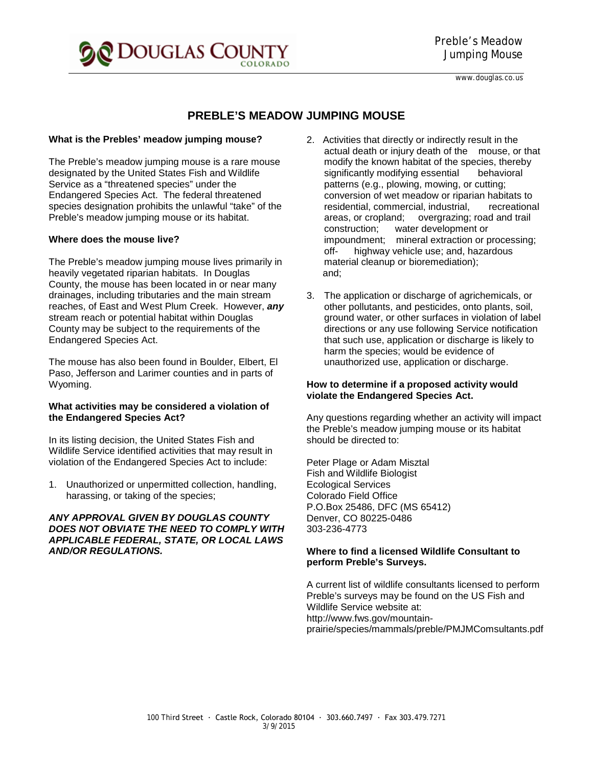

# **PREBLE'S MEADOW JUMPING MOUSE**

#### **What is the Prebles' meadow jumping mouse?**

The Preble's meadow jumping mouse is a rare mouse designated by the United States Fish and Wildlife Service as a "threatened species" under the Endangered Species Act. The federal threatened species designation prohibits the unlawful "take" of the Preble's meadow jumping mouse or its habitat.

## **Where does the mouse live?**

The Preble's meadow jumping mouse lives primarily in heavily vegetated riparian habitats. In Douglas County, the mouse has been located in or near many drainages, including tributaries and the main stream reaches, of East and West Plum Creek. However, *any*  stream reach or potential habitat within Douglas County may be subject to the requirements of the Endangered Species Act.

The mouse has also been found in Boulder, Elbert, El Paso, Jefferson and Larimer counties and in parts of Wyoming.

#### **What activities may be considered a violation of the Endangered Species Act?**

In its listing decision, the United States Fish and Wildlife Service identified activities that may result in violation of the Endangered Species Act to include:

1. Unauthorized or unpermitted collection, handling, harassing, or taking of the species;

### *ANY APPROVAL GIVEN BY DOUGLAS COUNTY DOES NOT OBVIATE THE NEED TO COMPLY WITH APPLICABLE FEDERAL, STATE, OR LOCAL LAWS AND/OR REGULATIONS.*

- 2. Activities that directly or indirectly result in the actual death or injury death of the mouse, or that modify the known habitat of the species, thereby significantly modifying essential behavioral patterns (e.g., plowing, mowing, or cutting; conversion of wet meadow or riparian habitats to residential, commercial, industrial, recreational areas, or cropland; overgrazing; road and trail construction; water development or impoundment; mineral extraction or processing;<br>off- highway vehicle use; and, hazardous highway vehicle use; and, hazardous material cleanup or bioremediation); and;
- 3. The application or discharge of agrichemicals, or other pollutants, and pesticides, onto plants, soil, ground water, or other surfaces in violation of label directions or any use following Service notification that such use, application or discharge is likely to harm the species; would be evidence of unauthorized use, application or discharge.

#### **How to determine if a proposed activity would violate the Endangered Species Act.**

Any questions regarding whether an activity will impact the Preble's meadow jumping mouse or its habitat should be directed to:

Peter Plage or Adam Misztal Fish and Wildlife Biologist Ecological Services Colorado Field Office P.O.Box 25486, DFC (MS 65412) Denver, CO 80225-0486 303-236-4773

#### **Where to find a licensed Wildlife Consultant to perform Preble's Surveys.**

A current list of wildlife consultants licensed to perform Preble's surveys may be found on the US Fish and Wildlife Service website at: http://www.fws.gov/mountainprairie/species/mammals/preble/PMJMComsultants.pdf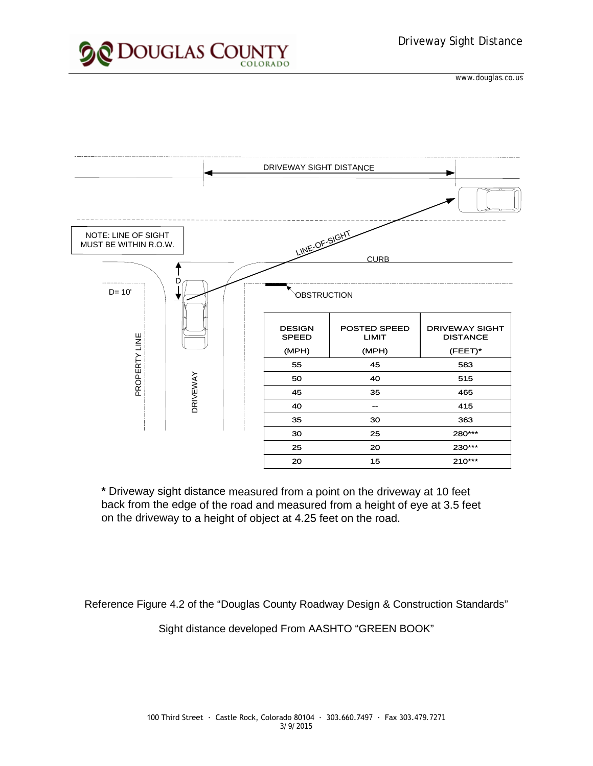





**\*** Driveway sight distance measured from a point on the driveway at 10 feet back from the edge of the road and measured from a height of eye at 3.5 feet on the driveway to a height of object at 4.25 feet on the road.

Reference Figure 4.2 of the "Douglas County Roadway Design & Construction Standards"

Sight distance developed From AASHTO "GREEN BOOK"